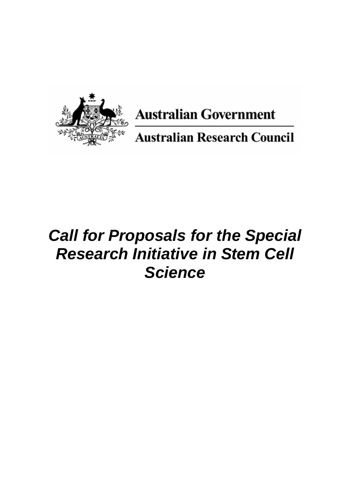

**Australian Government** 

**Australian Research Council** 

# *Call for Proposals for the Special Research Initiative in Stem Cell Science*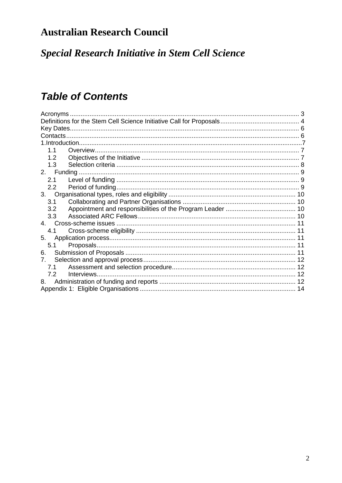## **Australian Research Council**

**Special Research Initiative in Stem Cell Science** 

## **Table of Contents**

| Acronyms                       |  |  |  |
|--------------------------------|--|--|--|
|                                |  |  |  |
|                                |  |  |  |
|                                |  |  |  |
|                                |  |  |  |
| 1.1                            |  |  |  |
| 1.2                            |  |  |  |
| 1.3                            |  |  |  |
|                                |  |  |  |
| 2.1                            |  |  |  |
| 2.2                            |  |  |  |
| 3.                             |  |  |  |
| 3.1                            |  |  |  |
| 3.2                            |  |  |  |
| 3.3                            |  |  |  |
|                                |  |  |  |
| 4.1                            |  |  |  |
| 5.                             |  |  |  |
| 5.1                            |  |  |  |
| 6.                             |  |  |  |
| $7_{\scriptscriptstyle{\sim}}$ |  |  |  |
| 7.1                            |  |  |  |
| Interviews<br>7.2              |  |  |  |
| 8.                             |  |  |  |
|                                |  |  |  |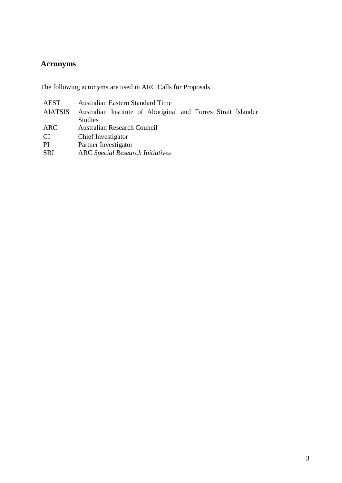## <span id="page-2-0"></span>**Acronyms**

The following acronyms are used in ARC Calls for Proposals.

| AEST       | <b>Australian Eastern Standard Time</b>                       |
|------------|---------------------------------------------------------------|
| AIATSIS    | Australian Institute of Aboriginal and Torres Strait Islander |
|            | <b>Studies</b>                                                |
| ARC        | <b>Australian Research Council</b>                            |
| <b>CI</b>  | Chief Investigator                                            |
| PI         | Partner Investigator                                          |
| <b>SRI</b> | <b>ARC</b> Special Research Initiatives                       |
|            |                                                               |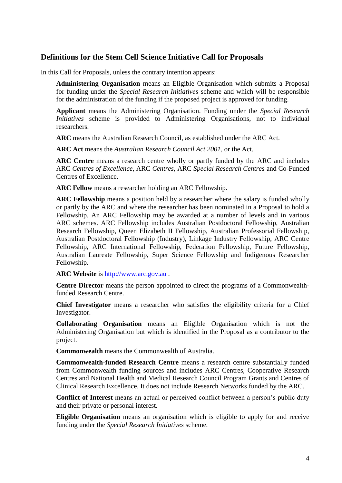#### <span id="page-3-0"></span>**Definitions for the Stem Cell Science Initiative Call for Proposals**

In this Call for Proposals, unless the contrary intention appears:

**Administering Organisation** means an Eligible Organisation which submits a Proposal for funding under the *Special Research Initiatives* scheme and which will be responsible for the administration of the funding if the proposed project is approved for funding.

**Applicant** means the Administering Organisation. Funding under the *Special Research Initiatives* scheme is provided to Administering Organisations, not to individual researchers.

**ARC** means the Australian Research Council, as established under the ARC Act.

**ARC Act** means the *Australian Research Council Act 2001*, or the Act.

**ARC Centre** means a research centre wholly or partly funded by the ARC and includes ARC *Centres of Excellence*, ARC *Centres*, ARC *Special Research Centres* and Co-Funded Centres of Excellence.

**ARC Fellow** means a researcher holding an ARC Fellowship.

**ARC Fellowship** means a position held by a researcher where the salary is funded wholly or partly by the ARC and where the researcher has been nominated in a Proposal to hold a Fellowship. An ARC Fellowship may be awarded at a number of levels and in various ARC schemes. ARC Fellowship includes Australian Postdoctoral Fellowship, Australian Research Fellowship, Queen Elizabeth II Fellowship, Australian Professorial Fellowship, Australian Postdoctoral Fellowship (Industry), Linkage Industry Fellowship, ARC Centre Fellowship, ARC International Fellowship, Federation Fellowship, Future Fellowship, Australian Laureate Fellowship, Super Science Fellowship and Indigenous Researcher Fellowship.

**ARC Website** is [http://www.arc.gov.au](http://www.arc.gov.au/) .

**Centre Director** means the person appointed to direct the programs of a Commonwealthfunded Research Centre.

**Chief Investigator** means a researcher who satisfies the eligibility criteria for a Chief Investigator.

**Collaborating Organisation** means an Eligible Organisation which is not the Administering Organisation but which is identified in the Proposal as a contributor to the project.

**Commonwealth** means the Commonwealth of Australia.

**Commonwealth-funded Research Centre** means a research centre substantially funded from Commonwealth funding sources and includes ARC Centres, Cooperative Research Centres and National Health and Medical Research Council Program Grants and Centres of Clinical Research Excellence. It does not include Research Networks funded by the ARC.

**Conflict of Interest** means an actual or perceived conflict between a person's public duty and their private or personal interest.

**Eligible Organisation** means an organisation which is eligible to apply for and receive funding under the *Special Research Initiatives* scheme*.*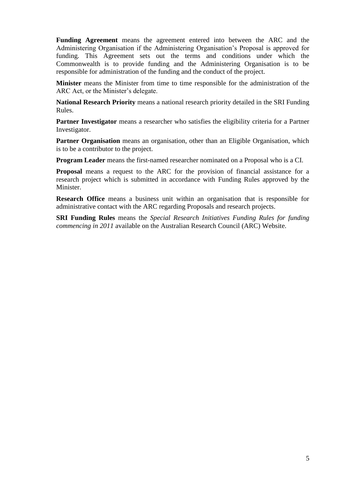**Funding Agreement** means the agreement entered into between the ARC and the Administering Organisation if the Administering Organisation's Proposal is approved for funding. This Agreement sets out the terms and conditions under which the Commonwealth is to provide funding and the Administering Organisation is to be responsible for administration of the funding and the conduct of the project.

**Minister** means the Minister from time to time responsible for the administration of the ARC Act, or the Minister's delegate.

**National Research Priority** means a national research priority detailed in the SRI Funding Rules.

**Partner Investigator** means a researcher who satisfies the eligibility criteria for a Partner Investigator.

Partner Organisation means an organisation, other than an Eligible Organisation, which is to be a contributor to the project.

**Program Leader** means the first-named researcher nominated on a Proposal who is a CI.

**Proposal** means a request to the ARC for the provision of financial assistance for a research project which is submitted in accordance with Funding Rules approved by the Minister.

**Research Office** means a business unit within an organisation that is responsible for administrative contact with the ARC regarding Proposals and research projects.

**SRI Funding Rules** means the *Special Research Initiatives Funding Rules for funding commencing in 2011* available on the Australian Research Council (ARC) Website.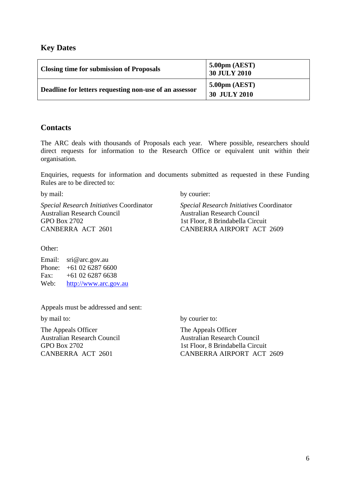#### <span id="page-5-0"></span>**Key Dates**

| <b>Closing time for submission of Proposals</b>        | $5.00 \text{pm}$ (AEST)<br><b>30 JULY 2010</b> |
|--------------------------------------------------------|------------------------------------------------|
| Deadline for letters requesting non-use of an assessor | 5.00 <sub>pm</sub> (AEST)<br>30 JULY 2010      |

#### <span id="page-5-1"></span>**Contacts**

The ARC deals with thousands of Proposals each year. Where possible, researchers should direct requests for information to the Research Office or equivalent unit within their organisation.

Enquiries, requests for information and documents submitted as requested in these Funding Rules are to be directed to:

*Special Research Initiatives* Coordinator *Special Research Initiatives* Coordinator Australian Research Council Australian Research Council GPO Box 2702 1st Floor, 8 Brindabella Circuit CANBERRA ACT 2601 CANBERRA AIRPORT ACT 2609

by mail: by courier:

Other:

Email: sri@arc.gov.au Phone: +61 02 6287 6600 Fax:  $+61,02,6287,6638$ Web: [http://www.arc.gov.au](http://www.arc.gov.au/)

Appeals must be addressed and sent:

The Appeals Officer The Appeals Officer Australian Research Council Australian Research Council

by mail to: by courier to:

GPO Box 2702 1st Floor, 8 Brindabella Circuit CANBERRA ACT 2601 CANBERRA AIRPORT ACT 2609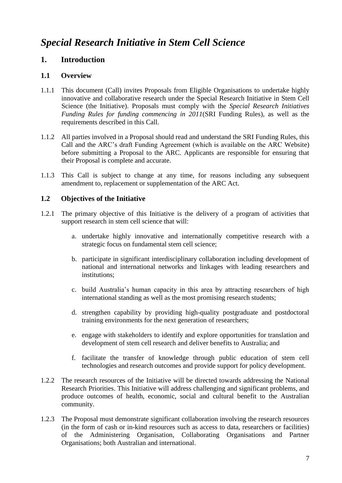## *Special Research Initiative in Stem Cell Science*

#### **1. Introduction**

#### <span id="page-6-0"></span>**1.1 Overview**

- 1.1.1 This document (Call) invites Proposals from Eligible Organisations to undertake highly innovative and collaborative research under the Special Research Initiative in Stem Cell Science (the Initiative). Proposals must comply with the *Special Research Initiatives Funding Rules for funding commencing in 2011*(SRI Funding Rules), as well as the requirements described in this Call.
- 1.1.2 All parties involved in a Proposal should read and understand the SRI Funding Rules, this Call and the ARC's draft Funding Agreement (which is available on the ARC Website) before submitting a Proposal to the ARC. Applicants are responsible for ensuring that their Proposal is complete and accurate.
- 1.1.3 This Call is subject to change at any time, for reasons including any subsequent amendment to, replacement or supplementation of the ARC Act.

#### <span id="page-6-1"></span>**1.2 Objectives of the Initiative**

- 1.2.1 The primary objective of this Initiative is the delivery of a program of activities that support research in stem cell science that will:
	- a. undertake highly innovative and internationally competitive research with a strategic focus on fundamental stem cell science;
	- b. participate in significant interdisciplinary collaboration including development of national and international networks and linkages with leading researchers and institutions;
	- c. build Australia's human capacity in this area by attracting researchers of high international standing as well as the most promising research students;
	- d. strengthen capability by providing high-quality postgraduate and postdoctoral training environments for the next generation of researchers;
	- e. engage with stakeholders to identify and explore opportunities for translation and development of stem cell research and deliver benefits to Australia; and
	- f. facilitate the transfer of knowledge through public education of stem cell technologies and research outcomes and provide support for policy development.
- 1.2.2 The research resources of the Initiative will be directed towards addressing the National Research Priorities. This Initiative will address challenging and significant problems, and produce outcomes of health, economic, social and cultural benefit to the Australian community.
- 1.2.3 The Proposal must demonstrate significant collaboration involving the research resources (in the form of cash or in-kind resources such as access to data, researchers or facilities) of the Administering Organisation, Collaborating Organisations and Partner Organisations; both Australian and international.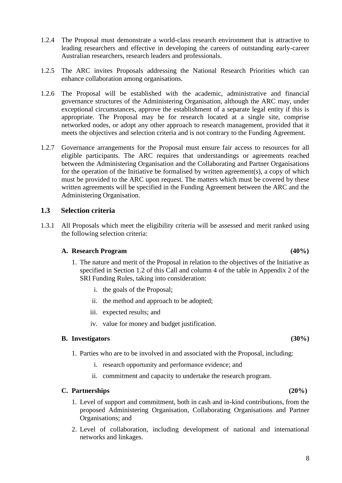- 1.2.4 The Proposal must demonstrate a world-class research environment that is attractive to leading researchers and effective in developing the careers of outstanding early-career Australian researchers, research leaders and professionals.
- 1.2.5 The ARC invites Proposals addressing the National Research Priorities which can enhance collaboration among organisations.
- 1.2.6 The Proposal will be established with the academic, administrative and financial governance structures of the Administering Organisation, although the ARC may, under exceptional circumstances, approve the establishment of a separate legal entity if this is appropriate. The Proposal may be for research located at a single site, comprise networked nodes, or adopt any other approach to research management, provided that it meets the objectives and selection criteria and is not contrary to the Funding Agreement.
- 1.2.7 Governance arrangements for the Proposal must ensure fair access to resources for all eligible participants. The ARC requires that understandings or agreements reached between the Administering Organisation and the Collaborating and Partner Organisations for the operation of the Initiative be formalised by written agreement(s), a copy of which must be provided to the ARC upon request. The matters which must be covered by these written agreements will be specified in the Funding Agreement between the ARC and the Administering Organisation.

#### <span id="page-7-0"></span>**1.3 Selection criteria**

1.3.1 All Proposals which meet the eligibility criteria will be assessed and merit ranked using the following selection criteria:

#### **A. Research Program (40%)**

- 1. The nature and merit of the Proposal in relation to the objectives of the Initiative as specified in Section 1.2 of this Call and column 4 of the table in Appendix 2 of the SRI Funding Rules, taking into consideration:
	- i. the goals of the Proposal;
	- ii. the method and approach to be adopted;
	- iii. expected results; and
	- iv. value for money and budget justification.

#### **B. Investigators (30%)**

- 1. Parties who are to be involved in and associated with the Proposal, including:
	- i. research opportunity and performance evidence; and
	- ii. commitment and capacity to undertake the research program.

#### **C. Partnerships (20%)**

- 1. Level of support and commitment, both in cash and in-kind contributions, from the proposed Administering Organisation, Collaborating Organisations and Partner Organisations; and
- 2. Level of collaboration, including development of national and international networks and linkages.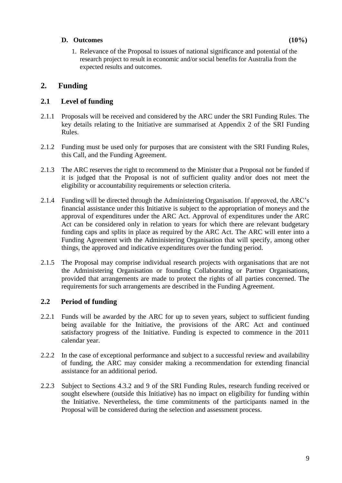#### **D. Outcomes (10%)**

1. Relevance of the Proposal to issues of national significance and potential of the research project to result in economic and/or social benefits for Australia from the expected results and outcomes.

### <span id="page-8-0"></span>**2. Funding**

#### <span id="page-8-1"></span>**2.1 Level of funding**

- 2.1.1 Proposals will be received and considered by the ARC under the SRI Funding Rules. The key details relating to the Initiative are summarised at Appendix 2 of the SRI Funding Rules.
- 2.1.2 Funding must be used only for purposes that are consistent with the SRI Funding Rules, this Call, and the Funding Agreement.
- 2.1.3 The ARC reserves the right to recommend to the Minister that a Proposal not be funded if it is judged that the Proposal is not of sufficient quality and/or does not meet the eligibility or accountability requirements or selection criteria.
- 2.1.4 Funding will be directed through the Administering Organisation. If approved, the ARC's financial assistance under this Initiative is subject to the appropriation of moneys and the approval of expenditures under the ARC Act. Approval of expenditures under the ARC Act can be considered only in relation to years for which there are relevant budgetary funding caps and splits in place as required by the ARC Act. The ARC will enter into a Funding Agreement with the Administering Organisation that will specify, among other things, the approved and indicative expenditures over the funding period.
- 2.1.5 The Proposal may comprise individual research projects with organisations that are not the Administering Organisation or founding Collaborating or Partner Organisations, provided that arrangements are made to protect the rights of all parties concerned. The requirements for such arrangements are described in the Funding Agreement.

#### <span id="page-8-2"></span>**2.2 Period of funding**

- 2.2.1 Funds will be awarded by the ARC for up to seven years, subject to sufficient funding being available for the Initiative, the provisions of the ARC Act and continued satisfactory progress of the Initiative. Funding is expected to commence in the 2011 calendar year.
- 2.2.2 In the case of exceptional performance and subject to a successful review and availability of funding, the ARC may consider making a recommendation for extending financial assistance for an additional period.
- 2.2.3 Subject to Sections 4.3.2 and 9 of the SRI Funding Rules, research funding received or sought elsewhere (outside this Initiative) has no impact on eligibility for funding within the Initiative. Nevertheless, the time commitments of the participants named in the Proposal will be considered during the selection and assessment process.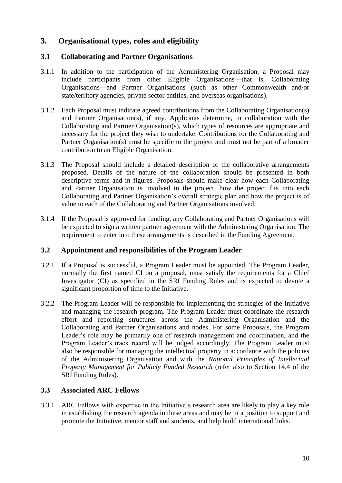### <span id="page-9-0"></span>**3. Organisational types, roles and eligibility**

#### <span id="page-9-1"></span>**3.1 Collaborating and Partner Organisations**

- 3.1.1 In addition to the participation of the Administering Organisation, a Proposal may include participants from other Eligible Organisations—that is, Collaborating Organisations—and Partner Organisations (such as other Commonwealth and/or state/territory agencies, private sector entities, and overseas organisations).
- 3.1.2 Each Proposal must indicate agreed contributions from the Collaborating Organisation(s) and Partner Organisation(s), if any. Applicants determine, in collaboration with the Collaborating and Partner Organisation(s), which types of resources are appropriate and necessary for the project they wish to undertake. Contributions for the Collaborating and Partner Organisation(s) must be specific to the project and must not be part of a broader contribution to an Eligible Organisation.
- 3.1.3 The Proposal should include a detailed description of the collaborative arrangements proposed. Details of the nature of the collaboration should be presented in both descriptive terms and in figures. Proposals should make clear how each Collaborating and Partner Organisation is involved in the project, how the project fits into each Collaborating and Partner Organisation's overall strategic plan and how the project is of value to each of the Collaborating and Partner Organisations involved.
- 3.1.4 If the Proposal is approved for funding, any Collaborating and Partner Organisations will be expected to sign a written partner agreement with the Administering Organisation. The requirement to enter into these arrangements is described in the Funding Agreement.

#### <span id="page-9-2"></span>**3.2 Appointment and responsibilities of the Program Leader**

- 3.2.1 If a Proposal is successful, a Program Leader must be appointed. The Program Leader, normally the first named CI on a proposal, must satisfy the requirements for a Chief Investigator (CI) as specified in the SRI Funding Rules and is expected to devote a significant proportion of time to the Initiative.
- 3.2.2 The Program Leader will be responsible for implementing the strategies of the Initiative and managing the research program. The Program Leader must coordinate the research effort and reporting structures across the Administering Organisation and the Collaborating and Partner Organisations and nodes. For some Proposals, the Program Leader's role may be primarily one of research management and coordination, and the Program Leader's track record will be judged accordingly. The Program Leader must also be responsible for managing the intellectual property in accordance with the policies of the Administering Organisation and with the *National Principles of Intellectual Property Management for Publicly Funded Research* (refer also to Section 14.4 of the SRI Funding Rules).

#### <span id="page-9-3"></span>**3.3 Associated ARC Fellows**

3.3.1 ARC Fellows with expertise in the Initiative's research area are likely to play a key role in establishing the research agenda in these areas and may be in a position to support and promote the Initiative, mentor staff and students, and help build international links.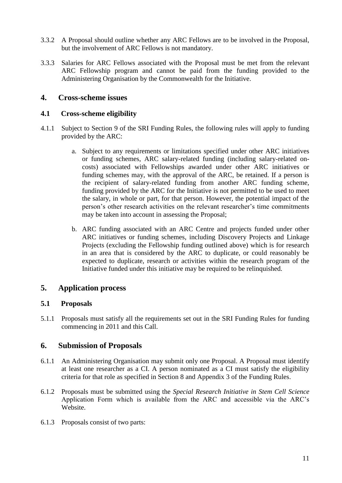- 3.3.2 A Proposal should outline whether any ARC Fellows are to be involved in the Proposal, but the involvement of ARC Fellows is not mandatory.
- 3.3.3 Salaries for ARC Fellows associated with the Proposal must be met from the relevant ARC Fellowship program and cannot be paid from the funding provided to the Administering Organisation by the Commonwealth for the Initiative.

#### <span id="page-10-0"></span>**4. Cross-scheme issues**

#### <span id="page-10-1"></span>**4.1 Cross-scheme eligibility**

- 4.1.1 Subject to Section 9 of the SRI Funding Rules, the following rules will apply to funding provided by the ARC:
	- a. Subject to any requirements or limitations specified under other ARC initiatives or funding schemes, ARC salary-related funding (including salary-related oncosts) associated with Fellowships awarded under other ARC initiatives or funding schemes may, with the approval of the ARC, be retained. If a person is the recipient of salary-related funding from another ARC funding scheme, funding provided by the ARC for the Initiative is not permitted to be used to meet the salary, in whole or part, for that person. However, the potential impact of the person's other research activities on the relevant researcher's time commitments may be taken into account in assessing the Proposal;
	- b. ARC funding associated with an ARC Centre and projects funded under other ARC initiatives or funding schemes, including Discovery Projects and Linkage Projects (excluding the Fellowship funding outlined above) which is for research in an area that is considered by the ARC to duplicate, or could reasonably be expected to duplicate, research or activities within the research program of the Initiative funded under this initiative may be required to be relinquished.

#### <span id="page-10-2"></span>**5. Application process**

#### <span id="page-10-3"></span>**5.1 Proposals**

5.1.1 Proposals must satisfy all the requirements set out in the SRI Funding Rules for funding commencing in 2011 and this Call.

#### <span id="page-10-4"></span>**6. Submission of Proposals**

- 6.1.1 An Administering Organisation may submit only one Proposal. A Proposal must identify at least one researcher as a CI. A person nominated as a CI must satisfy the eligibility criteria for that role as specified in Section 8 and Appendix 3 of the Funding Rules.
- 6.1.2 Proposals must be submitted using the *Special Research Initiative in Stem Cell Science* Application Form which is available from the ARC and accessible via the ARC's Website.
- 6.1.3 Proposals consist of two parts: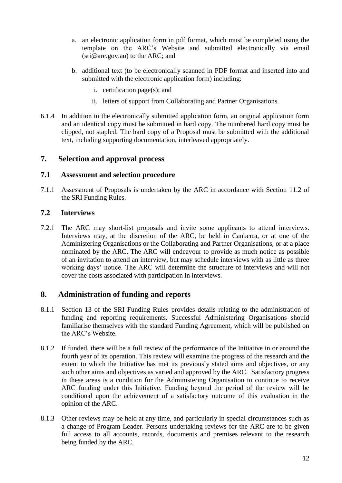- a. an electronic application form in pdf format, which must be completed using the template on the ARC's Website and submitted electronically via email (sri@arc.gov.au) to the ARC; and
- b. additional text (to be electronically scanned in PDF format and inserted into and submitted with the electronic application form) including:
	- i. certification page(s); and
	- ii. letters of support from Collaborating and Partner Organisations.
- 6.1.4 In addition to the electronically submitted application form, an original application form and an identical copy must be submitted in hard copy. The numbered hard copy must be clipped, not stapled. The hard copy of a Proposal must be submitted with the additional text, including supporting documentation, interleaved appropriately.

#### <span id="page-11-0"></span>**7. Selection and approval process**

#### <span id="page-11-1"></span>**7.1 Assessment and selection procedure**

7.1.1 Assessment of Proposals is undertaken by the ARC in accordance with Section 11.2 of the SRI Funding Rules.

#### <span id="page-11-2"></span>**7.2 Interviews**

7.2.1 The ARC may short-list proposals and invite some applicants to attend interviews. Interviews may, at the discretion of the ARC, be held in Canberra, or at one of the Administering Organisations or the Collaborating and Partner Organisations, or at a place nominated by the ARC. The ARC will endeavour to provide as much notice as possible of an invitation to attend an interview, but may schedule interviews with as little as three working days' notice. The ARC will determine the structure of interviews and will not cover the costs associated with participation in interviews.

#### <span id="page-11-3"></span>**8. Administration of funding and reports**

- 8.1.1 Section 13 of the SRI Funding Rules provides details relating to the administration of funding and reporting requirements. Successful Administering Organisations should familiarise themselves with the standard Funding Agreement, which will be published on the ARC's Website.
- 8.1.2 If funded, there will be a full review of the performance of the Initiative in or around the fourth year of its operation. This review will examine the progress of the research and the extent to which the Initiative has met its previously stated aims and objectives, or any such other aims and objectives as varied and approved by the ARC. Satisfactory progress in these areas is a condition for the Administering Organisation to continue to receive ARC funding under this Initiative. Funding beyond the period of the review will be conditional upon the achievement of a satisfactory outcome of this evaluation in the opinion of the ARC.
- 8.1.3 Other reviews may be held at any time, and particularly in special circumstances such as a change of Program Leader. Persons undertaking reviews for the ARC are to be given full access to all accounts, records, documents and premises relevant to the research being funded by the ARC.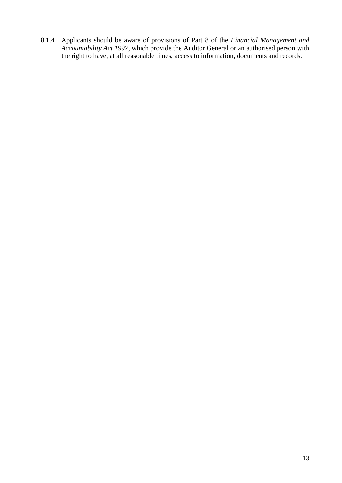8.1.4 Applicants should be aware of provisions of Part 8 of the *Financial Management and Accountability Act 1997*, which provide the Auditor General or an authorised person with the right to have, at all reasonable times, access to information, documents and records.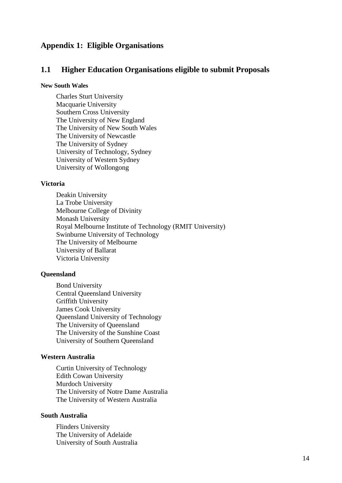#### <span id="page-13-0"></span>**Appendix 1: Eligible Organisations**

#### **1.1 Higher Education Organisations eligible to submit Proposals**

#### **New South Wales**

Charles Sturt University Macquarie University Southern Cross University The University of New England The University of New South Wales The University of Newcastle The University of Sydney University of Technology, Sydney University of Western Sydney University of Wollongong

#### **Victoria**

Deakin University La Trobe University Melbourne College of Divinity Monash University Royal Melbourne Institute of Technology (RMIT University) Swinburne University of Technology The University of Melbourne University of Ballarat Victoria University

#### **Queensland**

Bond University Central Queensland University Griffith University James Cook University Queensland University of Technology The University of Queensland The University of the Sunshine Coast University of Southern Queensland

#### **Western Australia**

Curtin University of Technology Edith Cowan University Murdoch University The University of Notre Dame Australia The University of Western Australia

#### **South Australia**

Flinders University The University of Adelaide University of South Australia